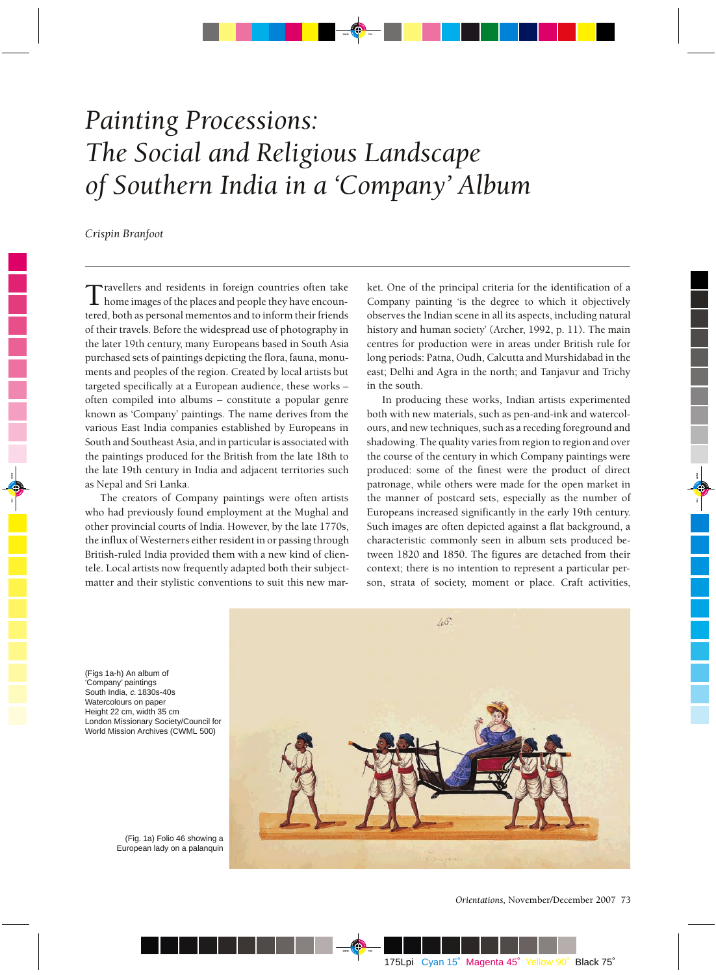## *Painting Processions: The Social and Religious Landscape of Southern India in a 'Company' Album*

*Crispin Branfoot*

Travellers and residents in foreign countries often take home images of the places and people they have encountered, both as personal mementos and to inform their friends of their travels. Before the widespread use of photography in the later 19th century, many Europeans based in South Asia purchased sets of paintings depicting the flora, fauna, monuments and peoples of the region. Created by local artists but targeted specifically at a European audience, these works – often compiled into albums – constitute a popular genre known as 'Company' paintings. The name derives from the various East India companies established by Europeans in South and Southeast Asia, and in particular is associated with the paintings produced for the British from the late 18th to the late 19th century in India and adjacent territories such as Nepal and Sri Lanka.

The creators of Company paintings were often artists who had previously found employment at the Mughal and other provincial courts of India. However, by the late 1770s, the influx of Westerners either resident in or passing through British-ruled India provided them with a new kind of clientele. Local artists now frequently adapted both their subjectmatter and their stylistic conventions to suit this new market. One of the principal criteria for the identification of a Company painting 'is the degree to which it objectively observes the Indian scene in all its aspects, including natural history and human society' (Archer, 1992, p. 11). The main centres for production were in areas under British rule for long periods: Patna, Oudh, Calcutta and Murshidabad in the east; Delhi and Agra in the north; and Tanjavur and Trichy in the south.

In producing these works, Indian artists experimented both with new materials, such as pen-and-ink and watercolours, and new techniques, such as a receding foreground and shadowing. The quality varies from region to region and over the course of the century in which Company paintings were produced: some of the finest were the product of direct patronage, while others were made for the open market in the manner of postcard sets, especially as the number of Europeans increased significantly in the early 19th century. Such images are often depicted against a flat background, a characteristic commonly seen in album sets produced between 1820 and 1850. The figures are detached from their context; there is no intention to represent a particular person, strata of society, moment or place. Craft activities,

46

(Figs 1a-h) An album of 'Company' paintings South India, <sup>c</sup>. 1830s-40s Watercolours on paper Height 22 cm, width 35 cm London Missionary Society/Council for World Mission Archives (CWML 500)

> (Fig. 1a) Folio 46 showing a European lady on a palanquin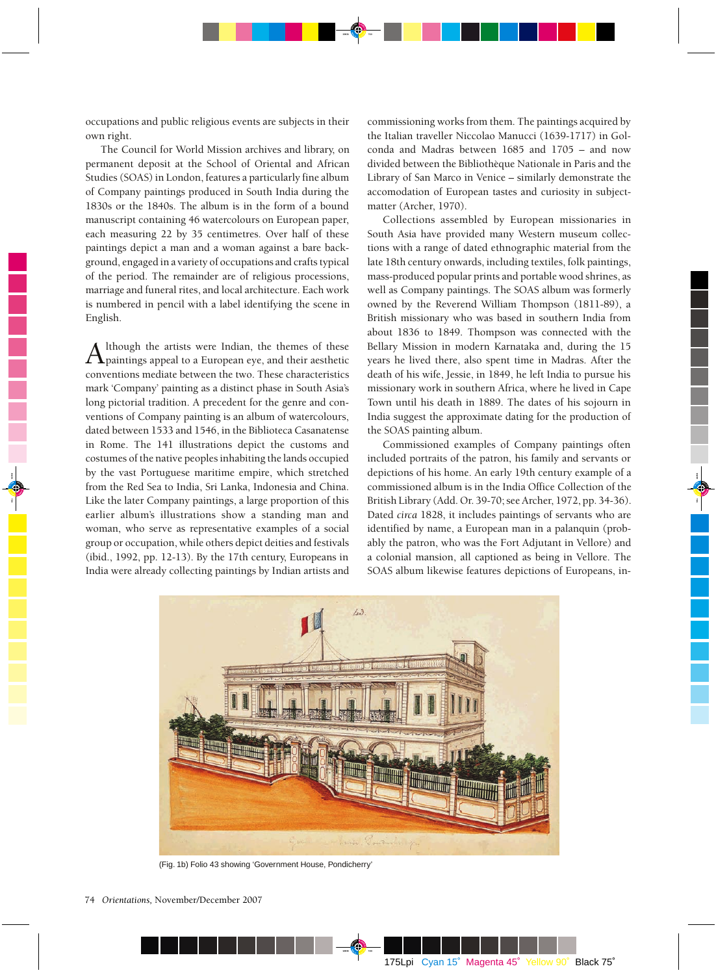occupations and public religious events are subjects in their own right.

The Council for World Mission archives and library, on permanent deposit at the School of Oriental and African Studies (SOAS) in London, features a particularly fine album of Company paintings produced in South India during the 1830s or the 1840s. The album is in the form of a bound manuscript containing 46 watercolours on European paper, each measuring 22 by 35 centimetres. Over half of these paintings depict a man and a woman against a bare background, engaged in a variety of occupations and crafts typical of the period. The remainder are of religious processions, marriage and funeral rites, and local architecture. Each work is numbered in pencil with a label identifying the scene in English.

Although the artists were Indian, the themes of these paintings appeal to a European eye, and their aesthetic conventions mediate between the two. These characteristics mark 'Company' painting as a distinct phase in South Asia's long pictorial tradition. A precedent for the genre and conventions of Company painting is an album of watercolours, dated between 1533 and 1546, in the Biblioteca Casanatense in Rome. The 141 illustrations depict the customs and costumes of the native peoples inhabiting the lands occupied by the vast Portuguese maritime empire, which stretched from the Red Sea to India, Sri Lanka, Indonesia and China. Like the later Company paintings, a large proportion of this earlier album's illustrations show a standing man and woman, who serve as representative examples of a social group or occupation, while others depict deities and festivals (ibid., 1992, pp. 12-13). By the 17th century, Europeans in India were already collecting paintings by Indian artists and

commissioning works from them. The paintings acquired by the Italian traveller Niccolao Manucci (1639-1717) in Golconda and Madras between 1685 and 1705 – and now divided between the Bibliothèque Nationale in Paris and the Library of San Marco in Venice – similarly demonstrate the accomodation of European tastes and curiosity in subjectmatter (Archer, 1970).

Collections assembled by European missionaries in South Asia have provided many Western museum collections with a range of dated ethnographic material from the late 18th century onwards, including textiles, folk paintings, mass-produced popular prints and portable wood shrines, as well as Company paintings. The SOAS album was formerly owned by the Reverend William Thompson (1811-89), a British missionary who was based in southern India from about 1836 to 1849. Thompson was connected with the Bellary Mission in modern Karnataka and, during the 15 years he lived there, also spent time in Madras. After the death of his wife, Jessie, in 1849, he left India to pursue his missionary work in southern Africa, where he lived in Cape Town until his death in 1889. The dates of his sojourn in India suggest the approximate dating for the production of the SOAS painting album.

Commissioned examples of Company paintings often included portraits of the patron, his family and servants or depictions of his home. An early 19th century example of a commissioned album is in the India Office Collection of the British Library (Add. Or. 39-70; see Archer, 1972, pp. 34-36). Dated *circa* 1828, it includes paintings of servants who are identified by name, a European man in a palanquin (probably the patron, who was the Fort Adjutant in Vellore) and a colonial mansion, all captioned as being in Vellore. The SOAS album likewise features depictions of Europeans, in-



(Fig. 1b) Folio 43 showing 'Government House, Pondicherry'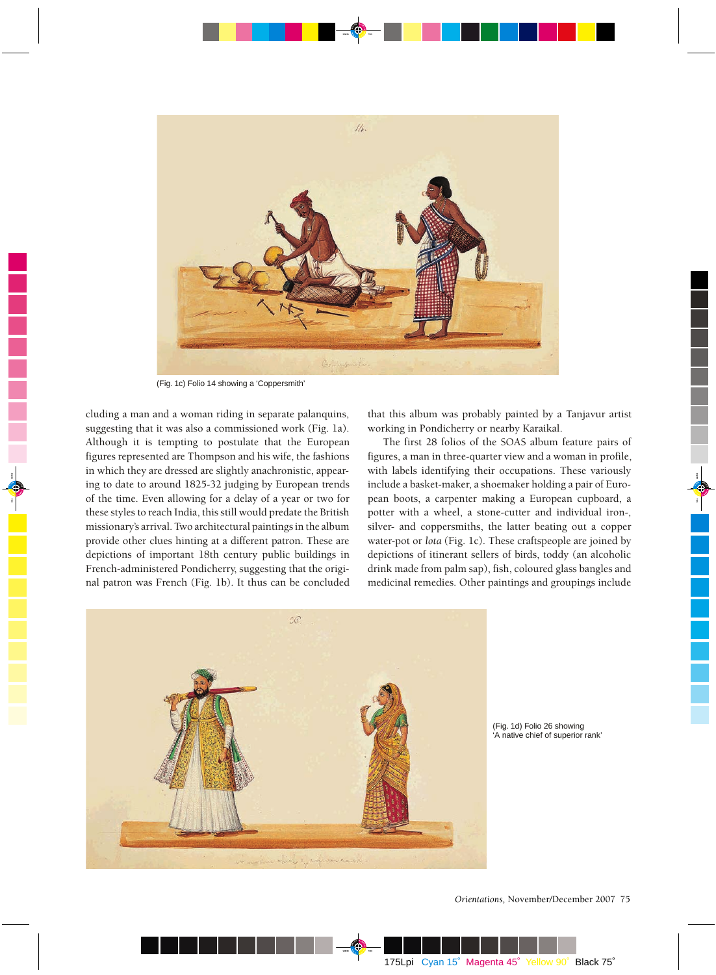

(Fig. 1c) Folio 14 showing a 'Coppersmith'

cluding a man and a woman riding in separate palanquins, suggesting that it was also a commissioned work (Fig. 1a). Although it is tempting to postulate that the European figures represented are Thompson and his wife, the fashions in which they are dressed are slightly anachronistic, appearing to date to around 1825-32 judging by European trends of the time. Even allowing for a delay of a year or two for these styles to reach India, this still would predate the British missionary's arrival. Two architectural paintings in the album provide other clues hinting at a different patron. These are depictions of important 18th century public buildings in French-administered Pondicherry, suggesting that the original patron was French (Fig. 1b). It thus can be concluded

that this album was probably painted by a Tanjavur artist working in Pondicherry or nearby Karaikal.

The first 28 folios of the SOAS album feature pairs of figures, a man in three-quarter view and a woman in profile, with labels identifying their occupations. These variously include a basket-maker, a shoemaker holding a pair of European boots, a carpenter making a European cupboard, a potter with a wheel, a stone-cutter and individual iron-, silver- and coppersmiths, the latter beating out a copper water-pot or *lota* (Fig. 1c). These craftspeople are joined by depictions of itinerant sellers of birds, toddy (an alcoholic drink made from palm sap), fish, coloured glass bangles and medicinal remedies. Other paintings and groupings include



(Fig. 1d) Folio 26 showing 'A native chief of superior rank'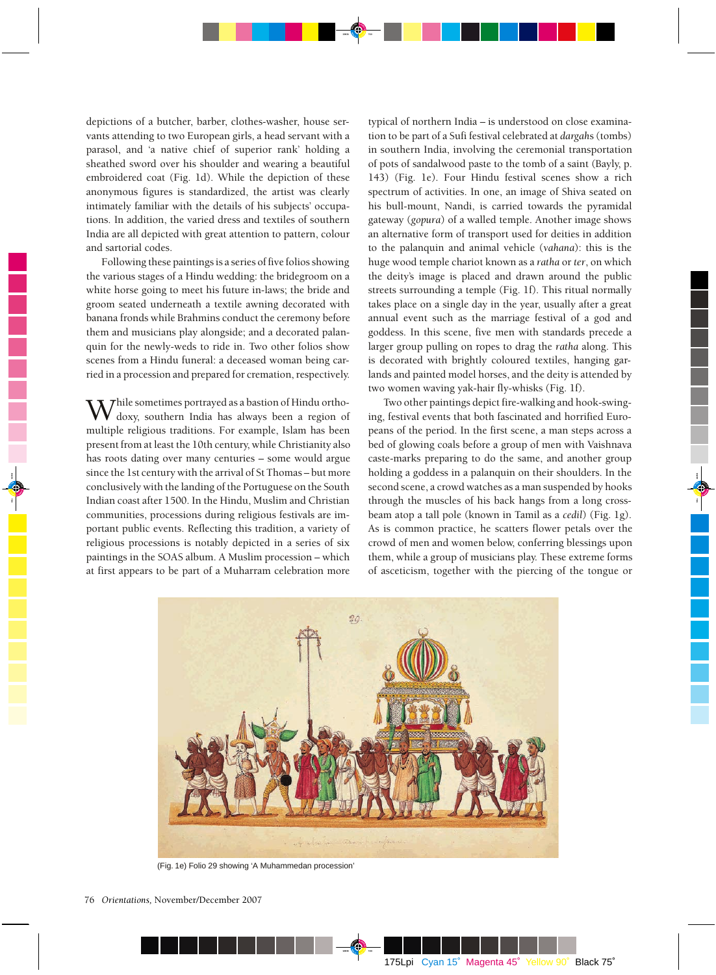depictions of a butcher, barber, clothes-washer, house servants attending to two European girls, a head servant with a parasol, and 'a native chief of superior rank' holding a sheathed sword over his shoulder and wearing a beautiful embroidered coat (Fig. 1d). While the depiction of these anonymous figures is standardized, the artist was clearly intimately familiar with the details of his subjects' occupations. In addition, the varied dress and textiles of southern India are all depicted with great attention to pattern, colour and sartorial codes.

Following these paintings is a series of five folios showing the various stages of a Hindu wedding: the bridegroom on a white horse going to meet his future in-laws; the bride and groom seated underneath a textile awning decorated with banana fronds while Brahmins conduct the ceremony before them and musicians play alongside; and a decorated palanquin for the newly-weds to ride in. Two other folios show scenes from a Hindu funeral: a deceased woman being carried in a procession and prepared for cremation, respectively.

Thile sometimes portrayed as a bastion of Hindu orthodoxy, southern India has always been a region of multiple religious traditions. For example, Islam has been present from at least the 10th century, while Christianity also has roots dating over many centuries – some would argue since the 1st century with the arrival of St Thomas – but more conclusively with the landing of the Portuguese on the South Indian coast after 1500. In the Hindu, Muslim and Christian communities, processions during religious festivals are important public events. Reflecting this tradition, a variety of religious processions is notably depicted in a series of six paintings in the SOAS album. A Muslim procession – which at first appears to be part of a Muharram celebration more

typical of northern India – is understood on close examination to be part of a Sufi festival celebrated at *dargah*s (tombs) in southern India, involving the ceremonial transportation of pots of sandalwood paste to the tomb of a saint (Bayly, p. 143) (Fig. 1e). Four Hindu festival scenes show a rich spectrum of activities. In one, an image of Shiva seated on his bull-mount, Nandi, is carried towards the pyramidal gateway (*gopura*) of a walled temple. Another image shows an alternative form of transport used for deities in addition to the palanquin and animal vehicle (*vahana*): this is the huge wood temple chariot known as a *ratha* or *ter*, on which the deity's image is placed and drawn around the public streets surrounding a temple (Fig. 1f). This ritual normally takes place on a single day in the year, usually after a great annual event such as the marriage festival of a god and goddess. In this scene, five men with standards precede a larger group pulling on ropes to drag the *ratha* along. This is decorated with brightly coloured textiles, hanging garlands and painted model horses, and the deity is attended by two women waving yak-hair fly-whisks (Fig. 1f).

Two other paintings depict fire-walking and hook-swinging, festival events that both fascinated and horrified Europeans of the period. In the first scene, a man steps across a bed of glowing coals before a group of men with Vaishnava caste-marks preparing to do the same, and another group holding a goddess in a palanquin on their shoulders. In the second scene, a crowd watches as a man suspended by hooks through the muscles of his back hangs from a long crossbeam atop a tall pole (known in Tamil as a *cedil*) (Fig. 1g). As is common practice, he scatters flower petals over the crowd of men and women below, conferring blessings upon them, while a group of musicians play. These extreme forms of asceticism, together with the piercing of the tongue or



(Fig. 1e) Folio 29 showing 'A Muhammedan procession'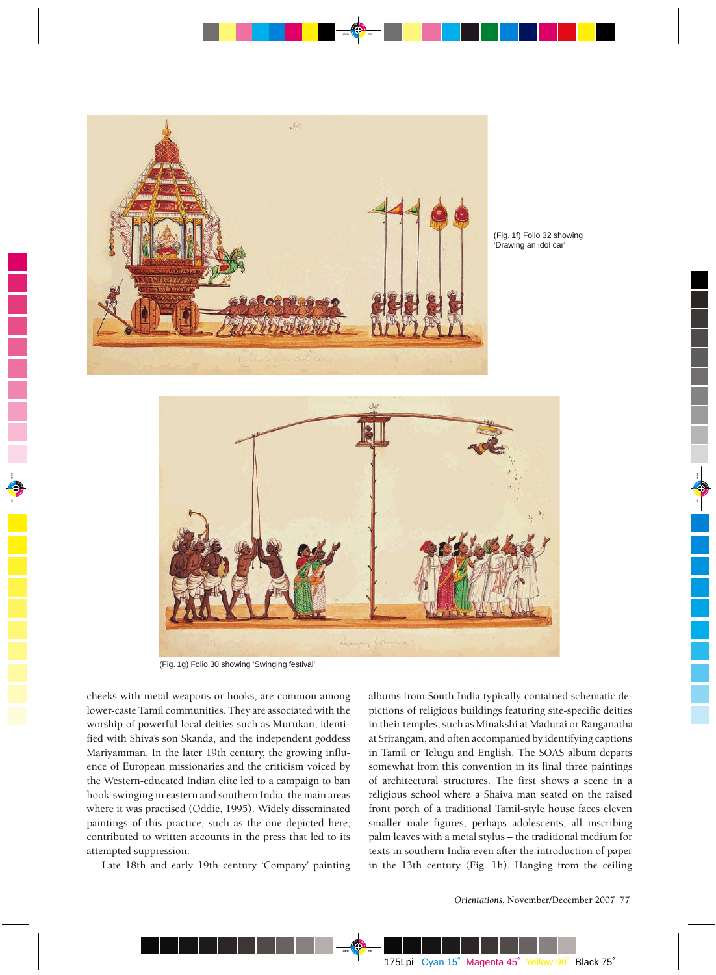

(Fig. 1f) Folio 32 showing 'Drawing an idol car'



(Fig. 1g) Folio 30 showing 'Swinging festival'

cheeks with metal weapons or hooks, are common among lower-caste Tamil communities. They are associated with the worship of powerful local deities such as Murukan, identified with Shiva's son Skanda, and the independent goddess Mariyamman. In the later 19th century, the growing influence of European missionaries and the criticism voiced by the Western-educated Indian elite led to a campaign to ban hook-swinging in eastern and southern India, the main areas where it was practised (Oddie, 1995). Widely disseminated paintings of this practice, such as the one depicted here, contributed to written accounts in the press that led to its attempted suppression.

Late 18th and early 19th century 'Company' painting

albums from South India typically contained schematic depictions of religious buildings featuring site-specific deities in their temples, such as Minakshi at Madurai or Ranganatha at Srirangam, and often accompanied by identifying captions in Tamil or Telugu and English. The SOAS album departs somewhat from this convention in its final three paintings of architectural structures. The first shows a scene in a religious school where a Shaiva man seated on the raised front porch of a traditional Tamil-style house faces eleven smaller male figures, perhaps adolescents, all inscribing palm leaves with a metal stylus – the traditional medium for texts in southern India even after the introduction of paper in the 13th century (Fig. 1h). Hanging from the ceiling